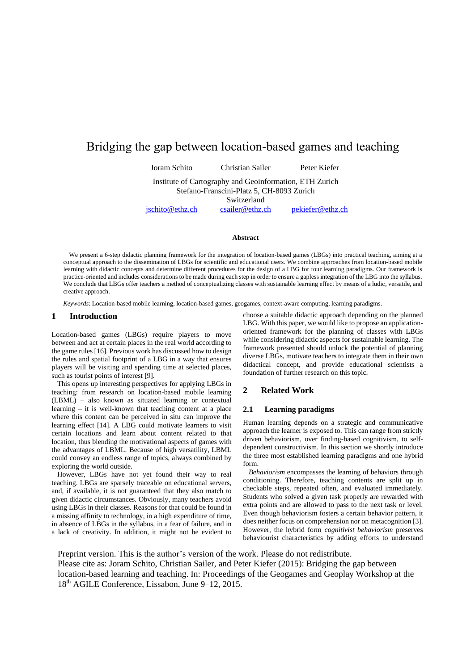## Bridging the gap between location-based games and teaching

Joram Schito Christian Sailer Peter Kiefer Institute of Cartography and Geoinformation, ETH Zurich Stefano-Franscini-Platz 5, CH-8093 Zurich Switzerland [jschito@ethz.ch](mailto:jschito@ethz.ch) [csailer@ethz.ch](mailto:csailer@ethz.ch) [pekiefer@ethz.ch](mailto:pekiefer@ethz.ch)

#### **Abstract**

We present a 6-step didactic planning framework for the integration of location-based games (LBGs) into practical teaching, aiming at a conceptual approach to the dissemination of LBGs for scientific and educational users. We combine approaches from location-based mobile learning with didactic concepts and determine different procedures for the design of a LBG for four learning paradigms. Our framework is practice-oriented and includes considerations to be made during each step in order to ensure a gapless integration of the LBG into the syllabus. We conclude that LBGs offer teachers a method of conceptualizing classes with sustainable learning effect by means of a ludic, versatile, and creative approach.

*Keywords*: Location-based mobile learning, location-based games, geogames, context-aware computing, learning paradigms.

#### **1 Introduction**

Location-based games (LBGs) require players to move between and act at certain places in the real world according to the game rules [16]. Previous work has discussed how to design the rules and spatial footprint of a LBG in a way that ensures players will be visiting and spending time at selected places, such as tourist points of interest [9].

This opens up interesting perspectives for applying LBGs in teaching: from research on location-based mobile learning (LBML) – also known as situated learning or contextual learning – it is well-known that teaching content at a place where this content can be perceived in situ can improve the learning effect [14]. A LBG could motivate learners to visit certain locations and learn about content related to that location, thus blending the motivational aspects of games with the advantages of LBML. Because of high versatility, LBML could convey an endless range of topics, always combined by exploring the world outside.

However, LBGs have not yet found their way to real teaching. LBGs are sparsely traceable on educational servers, and, if available, it is not guaranteed that they also match to given didactic circumstances. Obviously, many teachers avoid using LBGs in their classes. Reasons for that could be found in a missing affinity to technology, in a high expenditure of time, in absence of LBGs in the syllabus, in a fear of failure, and in a lack of creativity. In addition, it might not be evident to choose a suitable didactic approach depending on the planned LBG. With this paper, we would like to propose an applicationoriented framework for the planning of classes with LBGs while considering didactic aspects for sustainable learning. The framework presented should unlock the potential of planning diverse LBGs, motivate teachers to integrate them in their own didactical concept, and provide educational scientists a foundation of further research on this topic.

#### **2 Related Work**

#### **2.1 Learning paradigms**

Human learning depends on a strategic and communicative approach the learner is exposed to. This can range from strictly driven behaviorism, over finding-based cognitivism, to selfdependent constructivism. In this section we shortly introduce the three most established learning paradigms and one hybrid form.

*Behaviorism* encompasses the learning of behaviors through conditioning. Therefore, teaching contents are split up in checkable steps, repeated often, and evaluated immediately. Students who solved a given task properly are rewarded with extra points and are allowed to pass to the next task or level. Even though behaviorism fosters a certain behavior pattern, it does neither focus on comprehension nor on metacognition [3]. However, the hybrid form *cognitivist behaviorism* preserves behaviourist characteristics by adding efforts to understand

Preprint version. This is the author's version of the work. Please do not redistribute. Please cite as: Joram Schito, Christian Sailer, and Peter Kiefer (2015): Bridging the gap between location-based learning and teaching. In: Proceedings of the Geogames and Geoplay Workshop at the 18th AGILE Conference, Lissabon, June 9–12, 2015.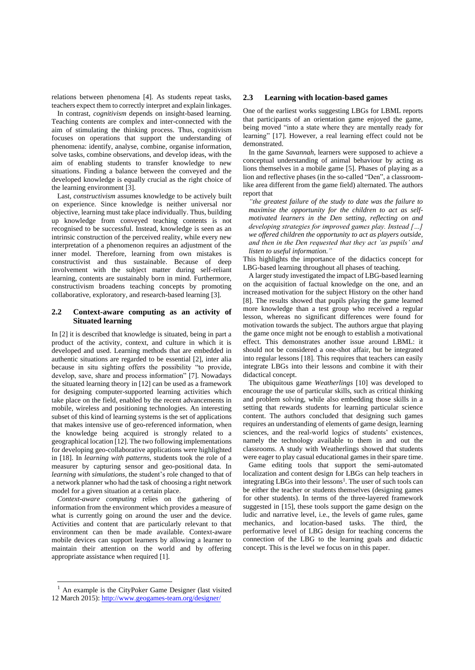relations between phenomena [4]. As students repeat tasks, teachers expect them to correctly interpret and explain linkages.

In contrast, *cognitivism* depends on insight-based learning. Teaching contents are complex and inter-connected with the aim of stimulating the thinking process. Thus, cognitivism focuses on operations that support the understanding of phenomena: identify, analyse, combine, organise information, solve tasks, combine observations, and develop ideas, with the aim of enabling students to transfer knowledge to new situations. Finding a balance between the conveyed and the developed knowledge is equally crucial as the right choice of the learning environment [3].

Last, *constructivism* assumes knowledge to be actively built on experience. Since knowledge is neither universal nor objective, learning must take place individually. Thus, building up knowledge from conveyed teaching contents is not recognised to be successful. Instead, knowledge is seen as an intrinsic construction of the perceived reality, while every new interpretation of a phenomenon requires an adjustment of the inner model. Therefore, learning from own mistakes is constructivist and thus sustainable. Because of deep involvement with the subject matter during self-reliant learning, contents are sustainably born in mind. Furthermore, constructivism broadens teaching concepts by promoting collaborative, exploratory, and research-based learning [3].

## **2.2 Context-aware computing as an activity of Situated learning**

In [2] it is described that knowledge is situated, being in part a product of the activity, context, and culture in which it is developed and used. Learning methods that are embedded in authentic situations are regarded to be essential [2], inter alia because in situ sighting offers the possibility "to provide, develop, save, share and process information" [7]. Nowadays the situated learning theory in [12] can be used as a framework for designing computer-supported learning activities which take place on the field, enabled by the recent advancements in mobile, wireless and positioning technologies. An interesting subset of this kind of learning systems is the set of applications that makes intensive use of geo-referenced information, when the knowledge being acquired is strongly related to a geographical location [12]. The two following implementations for developing geo-collaborative applications were highlighted in [18]. In *learning with patterns*, students took the role of a measurer by capturing sensor and geo-positional data. In *learning with simulations*, the student's role changed to that of a network planner who had the task of choosing a right network model for a given situation at a certain place.

*Context-aware computing* relies on the gathering of information from the environment which provides a measure of what is currently going on around the user and the device. Activities and content that are particularly relevant to that environment can then be made available. Context-aware mobile devices can support learners by allowing a learner to maintain their attention on the world and by offering appropriate assistance when required [1].

#### **2.3 Learning with location-based games**

One of the earliest works suggesting LBGs for LBML reports that participants of an orientation game enjoyed the game, being moved "into a state where they are mentally ready for learning" [17]. However, a real learning effect could not be demonstrated.

In the game *Savannah*, learners were supposed to achieve a conceptual understanding of animal behaviour by acting as lions themselves in a mobile game [5]. Phases of playing as a lion and reflective phases (in the so-called "Den", a classroomlike area different from the game field) alternated. The authors report that

*"the greatest failure of the study to date was the failure to maximise the opportunity for the children to act as selfmotivated learners in the Den setting, reflecting on and developing strategies for improved games play. Instead […] we offered children the opportunity to act as players outside, and then in the Den requested that they act 'as pupils' and listen to useful information."*

This highlights the importance of the didactics concept for LBG-based learning throughout all phases of teaching.

A larger study investigated the impact of LBG-based learning on the acquisition of factual knowledge on the one, and an increased motivation for the subject History on the other hand [8]. The results showed that pupils playing the game learned more knowledge than a test group who received a regular lesson, whereas no significant differences were found for motivation towards the subject. The authors argue that playing the game once might not be enough to establish a motivational effect. This demonstrates another issue around LBML: it should not be considered a one-shot affair, but be integrated into regular lessons [18]. This requires that teachers can easily integrate LBGs into their lessons and combine it with their didactical concept.

The ubiquitous game *Weatherlings* [10] was developed to encourage the use of particular skills, such as critical thinking and problem solving, while also embedding those skills in a setting that rewards students for learning particular science content. The authors concluded that designing such games requires an understanding of elements of game design, learning sciences, and the real-world logics of students' existences, namely the technology available to them in and out the classrooms. A study with Weatherlings showed that students were eager to play casual educational games in their spare time.

Game editing tools that support the semi-automated localization and content design for LBGs can help teachers in integrating LBGs into their lessons<sup>1</sup>. The user of such tools can be either the teacher or students themselves (designing games for other students). In terms of the three-layered framework suggested in [15], these tools support the game design on the ludic and narrative level, i.e., the levels of game rules, game mechanics, and location-based tasks. The third, the performative level of LBG design for teaching concerns the connection of the LBG to the learning goals and didactic concept. This is the level we focus on in this paper.

1

 $<sup>1</sup>$  An example is the CityPoker Game Designer (last visited</sup> 12 March 2015)[: http://www.geogames-team.org/designer/](http://www.geogames-team.org/designer/)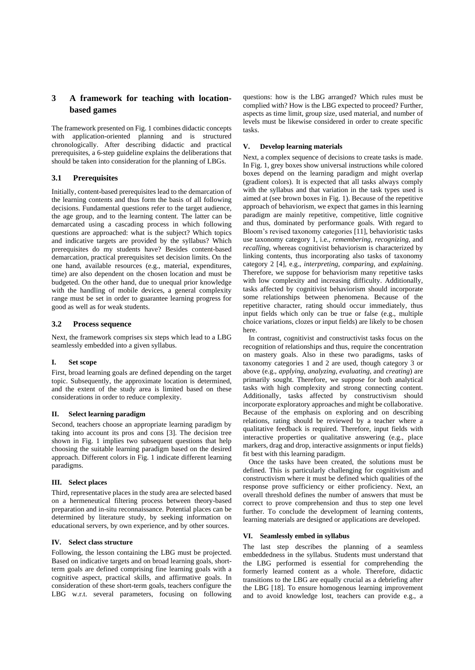## **3 A framework for teaching with locationbased games**

The framework presented o[n Fig. 1](#page-5-0) combines didactic concepts with application-oriented planning and is structured chronologically. After describing didactic and practical prerequisites, a 6-step guideline explains the deliberations that should be taken into consideration for the planning of LBGs.

## **3.1 Prerequisites**

Initially, content-based prerequisites lead to the demarcation of the learning contents and thus form the basis of all following decisions. Fundamental questions refer to the target audience, the age group, and to the learning content. The latter can be demarcated using a cascading process in which following questions are approached: what is the subject? Which topics and indicative targets are provided by the syllabus? Which prerequisites do my students have? Besides content-based demarcation, practical prerequisites set decision limits. On the one hand, available resources (e.g., material, expenditures, time) are also dependent on the chosen location and must be budgeted. On the other hand, due to unequal prior knowledge with the handling of mobile devices, a general complexity range must be set in order to guarantee learning progress for good as well as for weak students.

## **3.2 Process sequence**

Next, the framework comprises six steps which lead to a LBG seamlessly embedded into a given syllabus.

## **I. Set scope**

First, broad learning goals are defined depending on the target topic. Subsequently, the approximate location is determined, and the extent of the study area is limited based on these considerations in order to reduce complexity.

## **II. Select learning paradigm**

Second, teachers choose an appropriate learning paradigm by taking into account its pros and cons [3]. The decision tree shown in [Fig. 1](#page-5-0) implies two subsequent questions that help choosing the suitable learning paradigm based on the desired approach. Different colors in [Fig. 1](#page-5-0) indicate different learning paradigms.

## **III. Select places**

Third, representative places in the study area are selected based on a hermeneutical filtering process between theory-based preparation and in-situ reconnaissance. Potential places can be determined by literature study, by seeking information on educational servers, by own experience, and by other sources.

## **IV. Select class structure**

Following, the lesson containing the LBG must be projected. Based on indicative targets and on broad learning goals, shortterm goals are defined comprising fine learning goals with a cognitive aspect, practical skills, and affirmative goals. In consideration of these short-term goals, teachers configure the LBG w.r.t. several parameters, focusing on following questions: how is the LBG arranged? Which rules must be complied with? How is the LBG expected to proceed? Further, aspects as time limit, group size, used material, and number of levels must be likewise considered in order to create specific tasks.

## <span id="page-2-0"></span>**V. Develop learning materials**

Next, a complex sequence of decisions to create tasks is made. I[n Fig. 1,](#page-5-0) grey boxes show universal instructions while colored boxes depend on the learning paradigm and might overlap (gradient colors). It is expected that all tasks always comply with the syllabus and that variation in the task types used is aimed at (see brown boxes i[n Fig. 1\)](#page-5-0). Because of the repetitive approach of behaviorism, we expect that games in this learning paradigm are mainly repetitive, competitive, little cognitive and thus, dominated by performance goals. With regard to Bloom's revised taxonomy categories [11], behavioristic tasks use taxonomy category 1, i.e., *remembering*, *recognizing*, and *recalling*, whereas cognitivist behaviorism is characterized by linking contents, thus incorporating also tasks of taxonomy category 2 [4], e.g., *interpreting*, *comparing*, and *explaining*. Therefore, we suppose for behaviorism many repetitive tasks with low complexity and increasing difficulty. Additionally, tasks affected by cognitivist behaviorism should incorporate some relationships between phenomena. Because of the repetitive character, rating should occur immediately, thus input fields which only can be true or false (e.g., multiple choice variations, clozes or input fields) are likely to be chosen here.

In contrast, cognitivist and constructivist tasks focus on the recognition of relationships and thus, require the concentration on mastery goals. Also in these two paradigms, tasks of taxonomy categories 1 and 2 are used, though category 3 or above (e.g., *applying*, *analyzing*, *evaluating*, and *creating*) are primarily sought. Therefore, we suppose for both analytical tasks with high complexity and strong connecting content. Additionally, tasks affected by constructivism should incorporate exploratory approaches and might be collaborative. Because of the emphasis on exploring and on describing relations, rating should be reviewed by a teacher where a qualitative feedback is required. Therefore, input fields with interactive properties or qualitative answering (e.g., place markers, drag and drop, interactive assignments or input fields) fit best with this learning paradigm.

Once the tasks have been created, the solutions must be defined. This is particularly challenging for cognitivism and constructivism where it must be defined which qualities of the response prove sufficiency or either proficiency. Next, an overall threshold defines the number of answers that must be correct to prove comprehension and thus to step one level further. To conclude the development of learning contents, learning materials are designed or applications are developed.

## **VI. Seamlessly embed in syllabus**

The last step describes the planning of a seamless embeddedness in the syllabus. Students must understand that the LBG performed is essential for comprehending the formerly learned content as a whole. Therefore, didactic transitions to the LBG are equally crucial as a debriefing after the LBG [18]. To ensure homogenous learning improvement and to avoid knowledge lost, teachers can provide e.g., a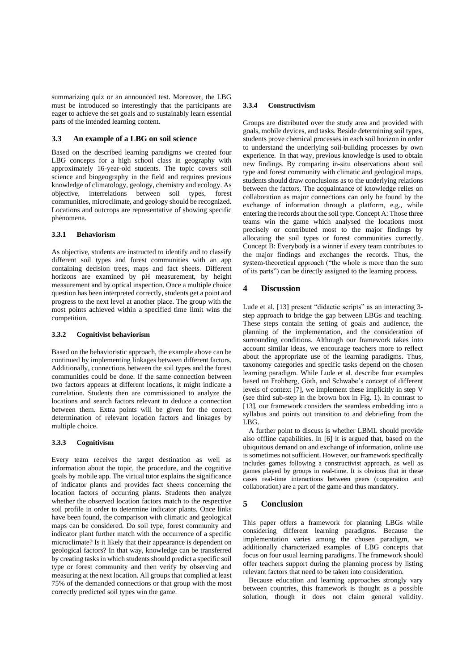summarizing quiz or an announced test. Moreover, the LBG must be introduced so interestingly that the participants are eager to achieve the set goals and to sustainably learn essential parts of the intended learning content.

#### **3.3 An example of a LBG on soil science**

Based on the described learning paradigms we created four LBG concepts for a high school class in geography with approximately 16-year-old students. The topic covers soil science and biogeography in the field and requires previous knowledge of climatology, geology, chemistry and ecology. As objective, interrelations between soil types, forest communities, microclimate, and geology should be recognized. Locations and outcrops are representative of showing specific phenomena.

#### **3.3.1 Behaviorism**

As objective, students are instructed to identify and to classify different soil types and forest communities with an app containing decision trees, maps and fact sheets. Different horizons are examined by pH measurement, by height measurement and by optical inspection. Once a multiple choice question has been interpreted correctly, students get a point and progress to the next level at another place. The group with the most points achieved within a specified time limit wins the competition.

#### **3.3.2 Cognitivist behaviorism**

Based on the behavioristic approach, the example above can be continued by implementing linkages between different factors. Additionally, connections between the soil types and the forest communities could be done. If the same connection between two factors appears at different locations, it might indicate a correlation. Students then are commissioned to analyze the locations and search factors relevant to deduce a connection between them. Extra points will be given for the correct determination of relevant location factors and linkages by multiple choice.

#### **3.3.3 Cognitivism**

Every team receives the target destination as well as information about the topic, the procedure, and the cognitive goals by mobile app. The virtual tutor explains the significance of indicator plants and provides fact sheets concerning the location factors of occurring plants. Students then analyze whether the observed location factors match to the respective soil profile in order to determine indicator plants. Once links have been found, the comparison with climatic and geological maps can be considered. Do soil type, forest community and indicator plant further match with the occurrence of a specific microclimate? Is it likely that their appearance is dependent on geological factors? In that way, knowledge can be transferred by creating tasks in which students should predict a specific soil type or forest community and then verify by observing and measuring at the next location. All groups that complied at least 75% of the demanded connections or that group with the most correctly predicted soil types win the game.

#### **3.3.4 Constructivism**

Groups are distributed over the study area and provided with goals, mobile devices, and tasks. Beside determining soil types, students prove chemical processes in each soil horizon in order to understand the underlying soil-building processes by own experience. In that way, previous knowledge is used to obtain new findings. By comparing in-situ observations about soil type and forest community with climatic and geological maps, students should draw conclusions as to the underlying relations between the factors. The acquaintance of knowledge relies on collaboration as major connections can only be found by the exchange of information through a platform, e.g., while entering the records about the soil type. Concept A: Those three teams win the game which analysed the locations most precisely or contributed most to the major findings by allocating the soil types or forest communities correctly. Concept B: Everybody is a winner if every team contributes to the major findings and exchanges the records. Thus, the system-theoretical approach ("the whole is more than the sum of its parts") can be directly assigned to the learning process.

## **4 Discussion**

Lude et al. [13] present "didactic scripts" as an interacting 3 step approach to bridge the gap between LBGs and teaching. These steps contain the setting of goals and audience, the planning of the implementation, and the consideration of surrounding conditions. Although our framework takes into account similar ideas, we encourage teachers more to reflect about the appropriate use of the learning paradigms. Thus, taxonomy categories and specific tasks depend on the chosen learning paradigm. While Lude et al. describe four examples based on Frohberg, Göth, and Schwabe's concept of different levels of context [7], we implement these implicitly in step [V](#page-2-0) (see third sub-step in the brown box in [Fig. 1\)](#page-5-0). In contrast to [13], our framework considers the seamless embedding into a syllabus and points out transition to and debriefing from the LBG.

A further point to discuss is whether LBML should provide also offline capabilities. In [6] it is argued that, based on the ubiquitous demand on and exchange of information, online use is sometimes not sufficient. However, our framework specifically includes games following a constructivist approach, as well as games played by groups in real-time. It is obvious that in these cases real-time interactions between peers (cooperation and collaboration) are a part of the game and thus mandatory.

## **5 Conclusion**

This paper offers a framework for planning LBGs while considering different learning paradigms. Because the implementation varies among the chosen paradigm, we additionally characterized examples of LBG concepts that focus on four usual learning paradigms. The framework should offer teachers support during the planning process by listing relevant factors that need to be taken into consideration.

Because education and learning approaches strongly vary between countries, this framework is thought as a possible solution, though it does not claim general validity.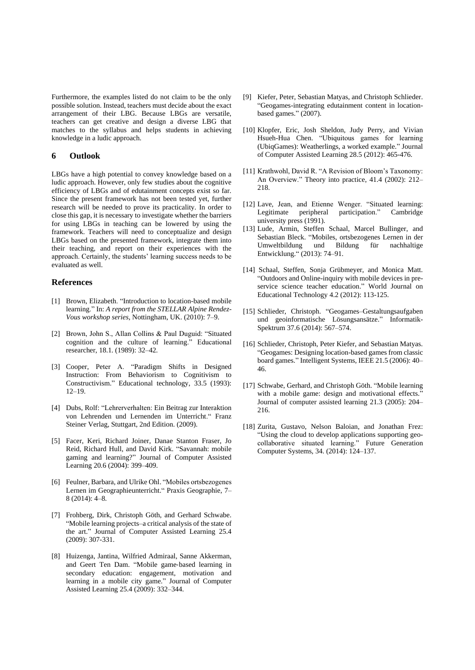Furthermore, the examples listed do not claim to be the only possible solution. Instead, teachers must decide about the exact arrangement of their LBG. Because LBGs are versatile, teachers can get creative and design a diverse LBG that matches to the syllabus and helps students in achieving knowledge in a ludic approach.

#### **6 Outlook**

LBGs have a high potential to convey knowledge based on a ludic approach. However, only few studies about the cognitive efficiency of LBGs and of edutainment concepts exist so far. Since the present framework has not been tested yet, further research will be needed to prove its practicality. In order to close this gap, it is necessary to investigate whether the barriers for using LBGs in teaching can be lowered by using the framework. Teachers will need to conceptualize and design LBGs based on the presented framework, integrate them into their teaching, and report on their experiences with the approach. Certainly, the students' learning success needs to be evaluated as well.

## **References**

- [1] Brown, Elizabeth. "Introduction to location-based mobile learning." In: *A report from the STELLAR Alpine Rendez-Vous workshop series*, Nottingham, UK. (2010): 7–9.
- [2] Brown, John S., Allan Collins & Paul Duguid: "Situated cognition and the culture of learning." Educational researcher, 18.1. (1989): 32–42.
- [3] Cooper, Peter A. "Paradigm Shifts in Designed Instruction: From Behaviorism to Cognitivism to Constructivism." Educational technology, 33.5 (1993):  $12-19$
- [4] Dubs, Rolf: "Lehrerverhalten: Ein Beitrag zur Interaktion von Lehrenden und Lernenden im Unterricht." Franz Steiner Verlag, Stuttgart, 2nd Edition. (2009).
- [5] Facer, Keri, Richard Joiner, Danae Stanton Fraser, Jo Reid, Richard Hull, and David Kirk. "Savannah: mobile gaming and learning?" Journal of Computer Assisted Learning 20.6 (2004): 399–409.
- [6] Feulner, Barbara, and Ulrike Ohl. "Mobiles ortsbezogenes Lernen im Geographieunterricht." Praxis Geographie, 7– 8 (2014): 4–8.
- [7] Frohberg, Dirk, Christoph Göth, and Gerhard Schwabe. "Mobile learning projects–a critical analysis of the state of the art." Journal of Computer Assisted Learning 25.4 (2009): 307-331.
- [8] Huizenga, Jantina, Wilfried Admiraal, Sanne Akkerman, and Geert Ten Dam. "Mobile game‐based learning in secondary education: engagement, motivation and learning in a mobile city game." Journal of Computer Assisted Learning 25.4 (2009): 332–344.
- Kiefer, Peter, Sebastian Matyas, and Christoph Schlieder. "Geogames-integrating edutainment content in locationbased games." (2007).
- [10] Klopfer, Eric, Josh Sheldon, Judy Perry, and Vivian Hsueh-Hua Chen. "Ubiquitous games for learning (UbiqGames): Weatherlings, a worked example." Journal of Computer Assisted Learning 28.5 (2012): 465-476.
- [11] Krathwohl, David R. "A Revision of Bloom's Taxonomy: An Overview." Theory into practice, 41.4 (2002): 212– 218.
- [12] Lave, Jean, and Etienne Wenger. "Situated learning: Legitimate peripheral participation." Cambridge university press (1991).
- [13] Lude, Armin, Steffen Schaal, Marcel Bullinger, and Sebastian Bleck. "Mobiles, ortsbezogenes Lernen in der Umweltbildung und Bildung für nachhaltige Entwicklung." (2013): 74–91.
- [14] Schaal, Steffen, Sonja Grübmeyer, and Monica Matt. "Outdoors and Online-inquiry with mobile devices in preservice science teacher education." World Journal on Educational Technology 4.2 (2012): 113-125.
- [15] Schlieder, Christoph. "Geogames–Gestaltungsaufgaben und geoinformatische Lösungsansätze." Informatik-Spektrum 37.6 (2014): 567–574.
- [16] Schlieder, Christoph, Peter Kiefer, and Sebastian Matyas. "Geogames: Designing location-based games from classic board games." Intelligent Systems, IEEE 21.5 (2006): 40– 46.
- [17] Schwabe, Gerhard, and Christoph Göth. "Mobile learning with a mobile game: design and motivational effects." Journal of computer assisted learning 21.3 (2005): 204– 216.
- [18] Zurita, Gustavo, Nelson Baloian, and Jonathan Frez: "Using the cloud to develop applications supporting geocollaborative situated learning." Future Generation Computer Systems, 34. (2014): 124–137.